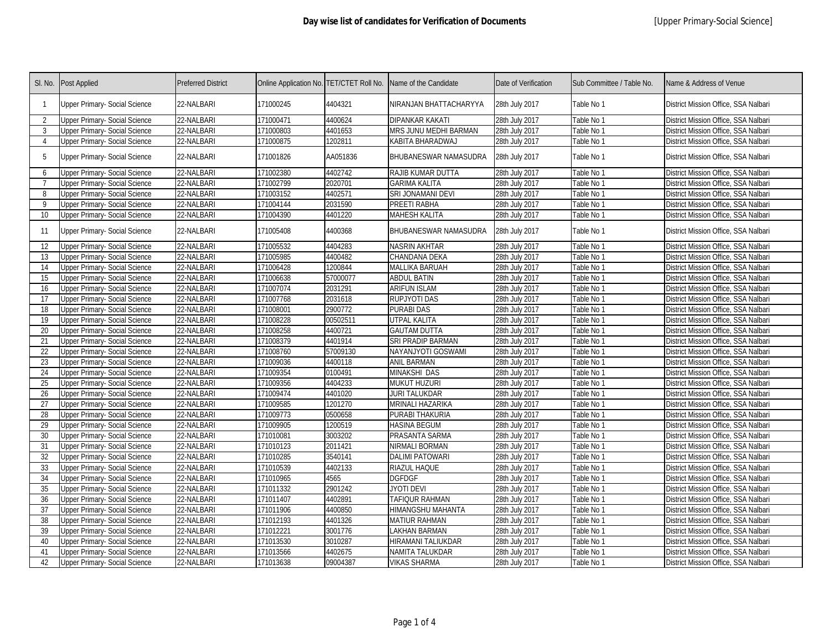| SI. No.         | Post Applied                         | <b>Preferred District</b> | Online Application No. TET/CTET Roll No. |          | Name of the Candidate    | Date of Verification | Sub Committee / Table No. | Name & Address of Venue              |
|-----------------|--------------------------------------|---------------------------|------------------------------------------|----------|--------------------------|----------------------|---------------------------|--------------------------------------|
| -1              | <b>Upper Primary- Social Science</b> | 22-NALBARI                | 171000245                                | 4404321  | NIRANJAN BHATTACHARYYA   | 28th July 2017       | Table No 1                | District Mission Office, SSA Nalbari |
| $\overline{2}$  | Jpper Primary- Social Science        | 22-NALBARI                | 171000471                                | 4400624  | DIPANKAR KAKATI          | 28th July 2017       | Table No 1                | District Mission Office, SSA Nalbari |
| 3               | Upper Primary- Social Science        | 22-NALBARI                | 171000803                                | 4401653  | MRS JUNU MEDHI BARMAN    | 28th July 2017       | Table No 1                | District Mission Office, SSA Nalbari |
| $\overline{4}$  | Upper Primary- Social Science        | 22-NALBARI                | 171000875                                | 1202811  | KABITA BHARADWAJ         | 28th July 2017       | Table No 1                | District Mission Office, SSA Nalbari |
| 5               | Upper Primary- Social Science        | 22-NALBARI                | 171001826                                | AA051836 | BHUBANESWAR NAMASUDRA    | 28th July 2017       | Table No 1                | District Mission Office, SSA Nalbari |
| 6               | Jpper Primary- Social Science        | 22-NALBARI                | 171002380                                | 4402742  | RAJIB KUMAR DUTTA        | 28th July 2017       | Table No 1                | District Mission Office, SSA Nalbari |
| $\overline{7}$  | <b>Jpper Primary- Social Science</b> | 22-NALBARI                | 171002799                                | 2020701  | <b>GARIMA KALITA</b>     | 28th July 2017       | Table No 1                | District Mission Office, SSA Nalbari |
| 8               | Jpper Primary- Social Science        | 22-NALBARI                | 171003152                                | 4402571  | SRI JONAMANI DEVI        | 28th July 2017       | Table No 1                | District Mission Office, SSA Nalbari |
| 9               | <b>Upper Primary- Social Science</b> | 22-NALBARI                | 171004144                                | 2031590  | PREETI RABHA             | 28th July 2017       | Table No 1                | District Mission Office, SSA Nalbari |
| 10 <sup>°</sup> | Upper Primary- Social Science        | 22-NALBARI                | 171004390                                | 4401220  | MAHESH KALITA            | 28th July 2017       | Table No 1                | District Mission Office, SSA Nalbari |
| -11             | <b>Upper Primary- Social Science</b> | 22-NALBARI                | 171005408                                | 4400368  | BHUBANESWAR NAMASUDRA    | 28th July 2017       | Table No 1                | District Mission Office, SSA Nalbari |
| 12              | <b>Jpper Primary- Social Science</b> | 22-NALBARI                | 171005532                                | 4404283  | NASRIN AKHTAR            | 28th July 2017       | Table No 1                | District Mission Office, SSA Nalbari |
| 13              | <b>Jpper Primary- Social Science</b> | 22-NALBARI                | 171005985                                | 4400482  | CHANDANA DEKA            | 28th July 2017       | Table No 1                | District Mission Office, SSA Nalbari |
| 14              | <b>Upper Primary- Social Science</b> | 22-NALBARI                | 171006428                                | 1200844  | MALLIKA BARUAH           | 28th July 2017       | Table No 1                | District Mission Office, SSA Nalbari |
| 15              | <b>Upper Primary- Social Science</b> | 22-NALBARI                | 171006638                                | 57000077 | ABDUL BATIN              | 28th July 2017       | Table No 1                | District Mission Office, SSA Nalbari |
| 16              | <b>Upper Primary- Social Science</b> | 22-NALBARI                | 171007074                                | 2031291  | <b>ARIFUN ISLAM</b>      | 28th July 2017       | Table No 1                | District Mission Office, SSA Nalbari |
| 17              | Upper Primary- Social Science        | 22-NALBARI                | 171007768                                | 2031618  | RUPJYOTI DAS             | 28th July 2017       | Table No 1                | District Mission Office, SSA Nalbari |
| 18              | <b>Upper Primary- Social Science</b> | 22-NALBARI                | 171008001                                | 2900772  | <b>PURABI DAS</b>        | 28th July 2017       | Table No 1                | District Mission Office, SSA Nalbari |
| 19              | Jpper Primary- Social Science        | 22-NALBARI                | 171008228                                | 00502511 | UTPAL KALITA             | 28th July 2017       | Table No 1                | District Mission Office, SSA Nalbari |
| 20              | <b>Upper Primary- Social Science</b> | 22-NALBARI                | 171008258                                | 4400721  | <b>GAUTAM DUTTA</b>      | 28th July 2017       | Table No 1                | District Mission Office, SSA Nalbari |
| 21              | <b>Upper Primary- Social Science</b> | 22-NALBARI                | 171008379                                | 4401914  | SRI PRADIP BARMAN        | 28th July 2017       | Table No 1                | District Mission Office, SSA Nalbari |
| 22              | Jpper Primary- Social Science        | 22-NALBARI                | 171008760                                | 57009130 | NAYANJYOTI GOSWAMI       | 28th July 2017       | Table No 1                | District Mission Office, SSA Nalbari |
| 23              | Upper Primary- Social Science        | 22-NALBARI                | 171009036                                | 4400118  | <b>ANIL BARMAN</b>       | 28th July 2017       | Table No 1                | District Mission Office, SSA Nalbari |
| 24              | Jpper Primary- Social Science        | 22-NALBARI                | 171009354                                | 0100491  | MINAKSHI DAS             | 28th July 2017       | Table No 1                | District Mission Office, SSA Nalbari |
| 25              | <b>Upper Primary- Social Science</b> | 22-NALBARI                | 171009356                                | 4404233  | MUKUT HUZURI             | 28th July 2017       | Table No 1                | District Mission Office, SSA Nalbari |
| 26              | Upper Primary- Social Science        | 22-NALBARI                | 171009474                                | 4401020  | JURI TALUKDAR            | 28th July 2017       | Table No 1                | District Mission Office, SSA Nalbari |
| 27              | Jpper Primary- Social Science        | 22-NALBARI                | 171009585                                | 1201270  | MRINALI HAZARIKA         | 28th July 2017       | Table No 1                | District Mission Office, SSA Nalbari |
| 28              | <b>Upper Primary- Social Science</b> | 22-NALBARI                | 171009773                                | 0500658  | PURABI THAKURIA          | 28th July 2017       | Table No 1                | District Mission Office, SSA Nalbari |
| 29              | Upper Primary- Social Science        | 22-NALBARI                | 171009905                                | 1200519  | <b>HASINA BEGUM</b>      | 28th July 2017       | Table No 1                | District Mission Office, SSA Nalbari |
| 30              | <b>Jpper Primary- Social Science</b> | 22-NALBARI                | 171010081                                | 3003202  | PRASANTA SARMA           | 28th July 2017       | Table No 1                | District Mission Office, SSA Nalbari |
| 31              | Upper Primary- Social Science        | 22-NALBARI                | 171010123                                | 2011421  | NIRMALI BORMAN           | 28th July 2017       | Table No 1                | District Mission Office, SSA Nalbari |
| 32              | Upper Primary- Social Science        | 22-NALBARI                | 171010285                                | 3540141  | <b>DALIMI PATOWARI</b>   | 28th July 2017       | Table No 1                | District Mission Office, SSA Nalbari |
| 33              | <b>Jpper Primary- Social Science</b> | 22-NALBARI                | 171010539                                | 4402133  | RIAZUL HAQUE             | 28th July 2017       | Table No 1                | District Mission Office, SSA Nalbari |
| 34              | Upper Primary- Social Science        | 22-NALBARI                | 171010965                                | 4565     | <b>DGFDGF</b>            | 28th July 2017       | Table No 1                | District Mission Office, SSA Nalbari |
| 35              | Upper Primary- Social Science        | 22-NALBARI                | 171011332                                | 2901242  | JYOTI DEVI               | 28th July 2017       | Table No 1                | District Mission Office, SSA Nalbari |
| 36              | <b>Upper Primary- Social Science</b> | 22-NALBARI                | 171011407                                | 4402891  | TAFIQUR RAHMAN           | 28th July 2017       | Table No 1                | District Mission Office, SSA Nalbari |
| 37              | <b>Upper Primary- Social Science</b> | 22-NALBARI                | 171011906                                | 4400850  | <b>HIMANGSHU MAHANTA</b> | 28th July 2017       | Table No 1                | District Mission Office, SSA Nalbari |
| 38              | Upper Primary- Social Science        | 22-NALBARI                | 171012193                                | 4401326  | <b>MATIUR RAHMAN</b>     | 28th July 2017       | Table No 1                | District Mission Office, SSA Nalbari |
| 39              | <b>Upper Primary- Social Science</b> | 22-NALBARI                | 171012221                                | 3001776  | LAKHAN BARMAN            | 28th July 2017       | Table No 1                | District Mission Office, SSA Nalbari |
| 40              | <b>Jpper Primary- Social Science</b> | 22-NALBARI                | 171013530                                | 3010287  | HIRAMANI TALIUKDAR       | 28th July 2017       | Table No 1                | District Mission Office, SSA Nalbari |
| 41              | Jpper Primary- Social Science        | 22-NALBARI                | 171013566                                | 4402675  | NAMITA TALUKDAR          | 28th July 2017       | Fable No 1                | District Mission Office, SSA Nalbari |
| 42              | Upper Primary- Social Science        | 22-NALBARI                | 171013638                                | 09004387 | VIKAS SHARMA             | 28th July 2017       | Table No 1                | District Mission Office, SSA Nalbari |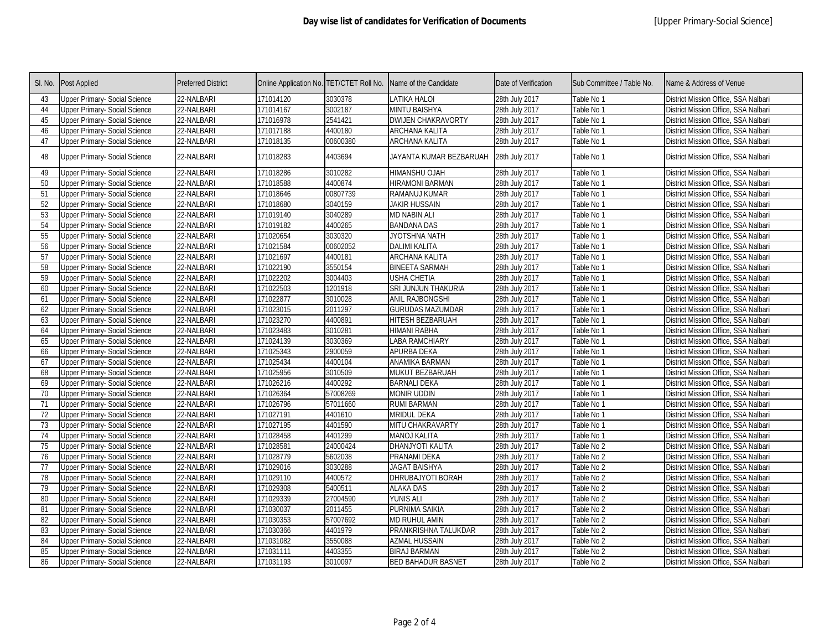| SI. No. | Post Applied                         | <b>Preferred District</b> | Online Application No. TET/CTET Roll No. |          | Name of the Candidate     | Date of Verification | Sub Committee / Table No. | Name & Address of Venue              |
|---------|--------------------------------------|---------------------------|------------------------------------------|----------|---------------------------|----------------------|---------------------------|--------------------------------------|
| 43      | Upper Primary- Social Science        | 22-NALBARI                | 171014120                                | 3030378  | <b>LATIKA HALOI</b>       | 28th July 2017       | Table No 1                | District Mission Office, SSA Nalbari |
| 44      | Upper Primary- Social Science        | 22-NALBARI                | 171014167                                | 3002187  | MINTU BAISHYA             | 28th July 2017       | Table No 1                | District Mission Office, SSA Nalbari |
| 45      | Upper Primary- Social Science        | 22-NALBARI                | 171016978                                | 2541421  | <b>DWIJEN CHAKRAVORTY</b> | 28th July 2017       | Table No 1                | District Mission Office, SSA Nalbari |
| 46      | Upper Primary- Social Science        | 22-NALBARI                | 171017188                                | 4400180  | ARCHANA KALITA            | 28th July 2017       | Table No 1                | District Mission Office, SSA Nalbari |
| 47      | Upper Primary- Social Science        | 22-NALBARI                | 171018135                                | 00600380 | ARCHANA KALITA            | 28th July 2017       | Table No 1                | District Mission Office, SSA Nalbari |
| 48      | <b>Upper Primary- Social Science</b> | 22-NALBARI                | 171018283                                | 4403694  | JAYANTA KUMAR BEZBARUAH   | 28th July 2017       | Table No 1                | District Mission Office, SSA Nalbari |
| 49      | Jpper Primary- Social Science        | 22-NALBARI                | 171018286                                | 3010282  | HIMANSHU OJAH             | 28th July 2017       | Table No 1                | District Mission Office, SSA Nalbari |
| 50      | Upper Primary- Social Science        | 22-NALBARI                | 171018588                                | 4400874  | <b>HRAMONI BARMAN</b>     | 28th July 2017       | Table No 1                | District Mission Office, SSA Nalbari |
| 51      | Upper Primary- Social Science        | 22-NALBARI                | 171018646                                | 00807739 | RAMANUJ KUMAR             | 28th July 2017       | Table No 1                | District Mission Office, SSA Nalbari |
| 52      | Upper Primary- Social Science        | 22-NALBARI                | 171018680                                | 3040159  | <b>JAKIR HUSSAIN</b>      | 28th July 2017       | Table No 1                | District Mission Office, SSA Nalbari |
| 53      | <b>Upper Primary- Social Science</b> | 22-NALBARI                | 171019140                                | 3040289  | <b>MD NABIN ALI</b>       | 28th July 2017       | Table No 1                | District Mission Office, SSA Nalbari |
| 54      | Upper Primary- Social Science        | 22-NALBARI                | 171019182                                | 4400265  | <b>BANDANA DAS</b>        | 28th July 2017       | Table No 1                | District Mission Office, SSA Nalbari |
| 55      | Upper Primary- Social Science        | 22-NALBARI                | 171020654                                | 3030320  | <b>JYOTSHNA NATH</b>      | 28th July 2017       | Table No 1                | District Mission Office, SSA Nalbari |
| 56      | Upper Primary- Social Science        | 22-NALBARI                | 171021584                                | 00602052 | <b>DALIMI KALITA</b>      | 28th July 2017       | Table No 1                | District Mission Office, SSA Nalbari |
| 57      | Upper Primary- Social Science        | 22-NALBARI                | 171021697                                | 4400181  | ARCHANA KALITA            | 28th July 2017       | Table No 1                | District Mission Office, SSA Nalbari |
| 58      | <b>Upper Primary- Social Science</b> | 22-NALBARI                | 171022190                                | 3550154  | <b>BINEETA SARMAH</b>     | 28th July 2017       | Table No 1                | District Mission Office, SSA Nalbari |
| 59      | Upper Primary- Social Science        | 22-NALBARI                | 171022202                                | 3004403  | USHA CHETIA               | 28th July 2017       | Table No 1                | District Mission Office, SSA Nalbari |
| 60      | Upper Primary- Social Science        | 22-NALBARI                | 171022503                                | 1201918  | SRI JUNJUN THAKURIA       | 28th July 2017       | Table No 1                | District Mission Office, SSA Nalbari |
| 61      | Upper Primary- Social Science        | 22-NALBARI                | 171022877                                | 3010028  | ANIL RAJBONGSHI           | 28th July 2017       | Table No 1                | District Mission Office, SSA Nalbari |
| 62      | Upper Primary- Social Science        | 22-NALBARI                | 171023015                                | 2011297  | <b>GURUDAS MAZUMDAR</b>   | 28th July 2017       | Table No 1                | District Mission Office, SSA Nalbari |
| 63      | Upper Primary- Social Science        | 22-NALBARI                | 171023270                                | 4400891  | HITESH BEZBARUAH          | 28th July 2017       | Table No 1                | District Mission Office, SSA Nalbari |
| 64      | Upper Primary- Social Science        | 22-NALBARI                | 171023483                                | 3010281  | HIMANI RABHA              | 28th July 2017       | Table No 1                | District Mission Office, SSA Nalbari |
| 65      | Upper Primary- Social Science        | 22-NALBARI                | 171024139                                | 3030369  | LABA RAMCHIARY            | 28th July 2017       | Table No 1                | District Mission Office, SSA Nalbari |
| 66      | <b>Upper Primary- Social Science</b> | 22-NALBARI                | 171025343                                | 2900059  | APURBA DEKA               | 28th July 2017       | Table No 1                | District Mission Office, SSA Nalbari |
| 67      | Upper Primary- Social Science        | 22-NALBARI                | 171025434                                | 4400104  | ANAMIKA BARMAN            | 28th July 2017       | Table No 1                | District Mission Office, SSA Nalbari |
| 68      | Upper Primary- Social Science        | 22-NALBARI                | 171025956                                | 3010509  | MUKUT BEZBARUAH           | 28th July 2017       | Table No 1                | District Mission Office, SSA Nalbari |
| 69      | Upper Primary- Social Science        | 22-NALBARI                | 171026216                                | 4400292  | <b>BARNALI DEKA</b>       | 28th July 2017       | Table No 1                | District Mission Office, SSA Nalbari |
| 70      | Upper Primary- Social Science        | 22-NALBARI                | 171026364                                | 57008269 | MONIR UDDIN               | 28th July 2017       | Table No 1                | District Mission Office, SSA Nalbari |
| 71      | Upper Primary- Social Science        | 22-NALBARI                | 171026796                                | 57011660 | <b>RUMI BARMAN</b>        | 28th July 2017       | Table No 1                | District Mission Office, SSA Nalbari |
| 72      | Upper Primary- Social Science        | 22-NALBARI                | 171027191                                | 4401610  | <b>MRIDUL DEKA</b>        | 28th July 2017       | Table No 1                | District Mission Office, SSA Nalbari |
| 73      | Upper Primary- Social Science        | 22-NALBARI                | 171027195                                | 4401590  | MITU CHAKRAVARTY          | 28th July 2017       | Table No 1                | District Mission Office, SSA Nalbari |
| 74      | Upper Primary- Social Science        | 22-NALBARI                | 171028458                                | 4401299  | <b>MANOJ KALITA</b>       | 28th July 2017       | Table No 1                | District Mission Office, SSA Nalbari |
| 75      | Upper Primary- Social Science        | 22-NALBARI                | 171028581                                | 24000424 | DHANJYOTI KALITA          | 28th July 2017       | Table No 2                | District Mission Office, SSA Nalbari |
| 76      | Upper Primary- Social Science        | 22-NALBARI                | 171028779                                | 5602038  | PRANAMI DEKA              | 28th July 2017       | Table No 2                | District Mission Office, SSA Nalbari |
| 77      | <b>Upper Primary- Social Science</b> | 22-NALBARI                | 171029016                                | 3030288  | <b>JAGAT BAISHYA</b>      | 28th July 2017       | Table No 2                | District Mission Office, SSA Nalbari |
| 78      | Upper Primary- Social Science        | 22-NALBARI                | 171029110                                | 4400572  | DHRUBAJYOTI BORAH         | 28th July 2017       | Table No 2                | District Mission Office, SSA Nalbari |
| 79      | Upper Primary- Social Science        | 22-NALBARI                | 171029308                                | 5400511  | <b>ALAKA DAS</b>          | 28th July 2017       | Table No 2                | District Mission Office, SSA Nalbari |
| 80      | Upper Primary- Social Science        | 22-NALBARI                | 171029339                                | 27004590 | <b>YUNIS ALI</b>          | 28th July 2017       | Table No 2                | District Mission Office, SSA Nalbari |
| 81      | Upper Primary- Social Science        | 22-NALBARI                | 171030037                                | 2011455  | PURNIMA SAIKIA            | 28th July 2017       | Table No 2                | District Mission Office, SSA Nalbari |
| 82      | Upper Primary- Social Science        | 22-NALBARI                | 171030353                                | 57007692 | <b>MD RUHUL AMIN</b>      | 28th July 2017       | Table No 2                | District Mission Office, SSA Nalbari |
| 83      | Upper Primary- Social Science        | 22-NALBARI                | 171030366                                | 4401979  | PRANKRISHNA TALUKDAR      | 28th July 2017       | Table No 2                | District Mission Office, SSA Nalbari |
| 84      | Upper Primary- Social Science        | 22-NALBARI                | 171031082                                | 3550088  | AZMAL HUSSAIN             | 28th July 2017       | Table No 2                | District Mission Office, SSA Nalbari |
| 85      | Upper Primary- Social Science        | 22-NALBARI                | 171031111                                | 4403355  | BIRAJ BARMAN              | 28th July 2017       | Table No 2                | District Mission Office, SSA Nalbari |
| 86      | Upper Primary- Social Science        | 22-NALBARI                | 171031193                                | 3010097  | <b>BED BAHADUR BASNET</b> | 28th July 2017       | Table No 2                | District Mission Office, SSA Nalbari |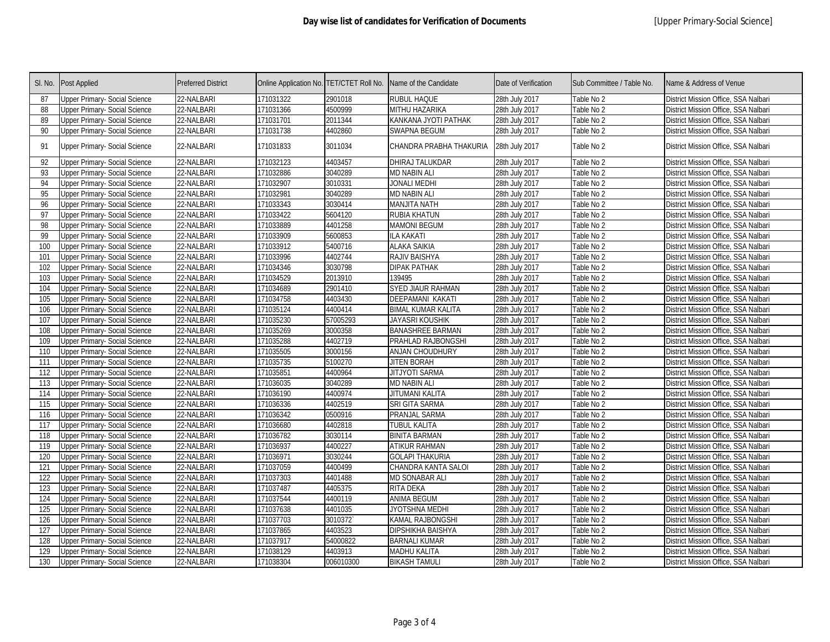| SI. No. | Post Applied                         | <b>Preferred District</b> | Online Application No. TET/CTET Roll No. |           | Name of the Candidate    | Date of Verification | Sub Committee / Table No. | Name & Address of Venue              |
|---------|--------------------------------------|---------------------------|------------------------------------------|-----------|--------------------------|----------------------|---------------------------|--------------------------------------|
| 87      | Upper Primary- Social Science        | 22-NALBARI                | 171031322                                | 2901018   | RUBUL HAQUE              | 28th July 2017       | Table No 2                | District Mission Office, SSA Nalbari |
| 88      | Upper Primary- Social Science        | 22-NALBARI                | 171031366                                | 4500999   | MITHU HAZARIKA           | 28th July 2017       | Table No 2                | District Mission Office, SSA Nalbari |
| 89      | Upper Primary- Social Science        | 22-NALBARI                | 171031701                                | 2011344   | KANKANA JYOTI PATHAK     | 28th July 2017       | Table No 2                | District Mission Office, SSA Nalbari |
| 90      | Upper Primary- Social Science        | 22-NALBARI                | 171031738                                | 4402860   | SWAPNA BEGUM             | 28th July 2017       | Table No 2                | District Mission Office, SSA Nalbari |
| 91      | Upper Primary- Social Science        | 22-NALBARI                | 171031833                                | 3011034   | CHANDRA PRABHA THAKURIA  | 28th July 2017       | Table No 2                | District Mission Office, SSA Nalbari |
| 92      | Upper Primary- Social Science        | 22-NALBARI                | 171032123                                | 4403457   | DHIRAJ TALUKDAR          | 28th July 2017       | Table No 2                | District Mission Office, SSA Nalbari |
| 93      | Upper Primary- Social Science        | 22-NALBARI                | 171032886                                | 3040289   | <b>MD NABIN ALI</b>      | 28th July 2017       | Table No 2                | District Mission Office, SSA Nalbari |
| 94      | Upper Primary- Social Science        | 22-NALBARI                | 171032907                                | 3010331   | <b>JONALI MEDHI</b>      | 28th July 2017       | Table No 2                | District Mission Office, SSA Nalbari |
| 95      | Upper Primary- Social Science        | 22-NALBARI                | 171032981                                | 3040289   | <b>MD NABIN ALI</b>      | 28th July 2017       | Table No 2                | District Mission Office, SSA Nalbari |
| 96      | <b>Upper Primary- Social Science</b> | 22-NALBARI                | 171033343                                | 3030414   | <b>HTAN ATILIAN</b>      | 28th July 2017       | Table No 2                | District Mission Office, SSA Nalbari |
| 97      | <b>Upper Primary- Social Science</b> | 22-NALBARI                | 171033422                                | 5604120   | RUBIA KHATUN             | 28th July 2017       | Table No 2                | District Mission Office, SSA Nalbari |
| 98      | Upper Primary- Social Science        | 22-NALBARI                | 171033889                                | 4401258   | <b>MAMONI BEGUM</b>      | 28th July 2017       | Table No 2                | District Mission Office, SSA Nalbari |
| 99      | Upper Primary- Social Science        | 22-NALBARI                | 171033909                                | 5600853   | <b>ILA KAKATI</b>        | 28th July 2017       | Table No 2                | District Mission Office, SSA Nalbari |
| 100     | Upper Primary- Social Science        | 22-NALBARI                | 171033912                                | 5400716   | ALAKA SAIKIA             | 28th July 2017       | Table No 2                | District Mission Office, SSA Nalbari |
| 101     | Upper Primary- Social Science        | 22-NALBARI                | 171033996                                | 4402744   | RAJIV BAISHYA            | 28th July 2017       | Table No 2                | District Mission Office, SSA Nalbari |
| 102     | Upper Primary- Social Science        | 22-NALBARI                | 171034346                                | 3030798   | DIPAK PATHAK             | 28th July 2017       | Table No 2                | District Mission Office, SSA Nalbari |
| 103     | Upper Primary- Social Science        | 22-NALBARI                | 171034529                                | 2013910   | 139495                   | 28th July 2017       | Table No 2                | District Mission Office, SSA Nalbari |
| 104     | Upper Primary- Social Science        | 22-NALBARI                | 171034689                                | 2901410   | <b>SYED JIAUR RAHMAN</b> | 28th July 2017       | Table No 2                | District Mission Office, SSA Nalbari |
| 105     | <b>Upper Primary- Social Science</b> | 22-NALBARI                | 171034758                                | 4403430   | DEEPAMANI KAKATI         | 28th July 2017       | Table No 2                | District Mission Office, SSA Nalbari |
| 106     | <b>Upper Primary- Social Science</b> | 22-NALBARI                | 171035124                                | 4400414   | BIMAL KUMAR KALITA       | 28th July 2017       | Table No 2                | District Mission Office, SSA Nalbari |
| 107     | Upper Primary- Social Science        | 22-NALBARI                | 171035230                                | 57005293  | <b>JAYASRI KOUSHIK</b>   | 28th July 2017       | Table No 2                | District Mission Office, SSA Nalbari |
| 108     | <b>Upper Primary- Social Science</b> | 22-NALBARI                | 171035269                                | 3000358   | <b>BANASHREE BARMAN</b>  | 28th July 2017       | Table No 2                | District Mission Office, SSA Nalbari |
| 109     | <b>Upper Primary- Social Science</b> | 22-NALBARI                | 171035288                                | 4402719   | PRAHLAD RAJBONGSHI       | 28th July 2017       | Table No 2                | District Mission Office, SSA Nalbari |
| 110     | Upper Primary- Social Science        | 22-NALBARI                | 171035505                                | 3000156   | ANJAN CHOUDHURY          | 28th July 2017       | Table No 2                | District Mission Office, SSA Nalbari |
| 111     | Upper Primary- Social Science        | 22-NALBARI                | 171035735                                | 5100270   | <b>JITEN BORAH</b>       | 28th July 2017       | Table No 2                | District Mission Office, SSA Nalbari |
| 112     | Upper Primary- Social Science        | 22-NALBARI                | 171035851                                | 4400964   | <b>JITJYOTI SARMA</b>    | 28th July 2017       | Table No 2                | District Mission Office, SSA Nalbari |
| 113     | <b>Upper Primary- Social Science</b> | 22-NALBARI                | 171036035                                | 3040289   | <b>MD NABIN ALI</b>      | 28th July 2017       | Table No 2                | District Mission Office, SSA Nalbari |
| 114     | Upper Primary- Social Science        | 22-NALBARI                | 171036190                                | 4400974   | JITUMANI KALITA          | 28th July 2017       | Table No 2                | District Mission Office, SSA Nalbari |
| 115     | Upper Primary- Social Science        | 22-NALBARI                | 171036336                                | 4402519   | SRI GITA SARMA           | 28th July 2017       | Table No 2                | District Mission Office, SSA Nalbari |
| 116     | Upper Primary- Social Science        | 22-NALBARI                | 171036342                                | 0500916   | PRANJAL SARMA            | 28th July 2017       | Table No 2                | District Mission Office, SSA Nalbari |
| 117     | Upper Primary- Social Science        | 22-NALBARI                | 171036680                                | 4402818   | <b>TUBUL KALITA</b>      | 28th July 2017       | Table No 2                | District Mission Office, SSA Nalbari |
| 118     | <b>Upper Primary- Social Science</b> | 22-NALBARI                | 171036782                                | 3030114   | <b>BINITA BARMAN</b>     | 28th July 2017       | Table No 2                | District Mission Office, SSA Nalbari |
| 119     | Upper Primary- Social Science        | 22-NALBARI                | 171036937                                | 4400227   | ATIKUR RAHMAN            | 28th July 2017       | Table No 2                | District Mission Office, SSA Nalbari |
| 120     | Upper Primary- Social Science        | 22-NALBARI                | 171036971                                | 3030244   | <b>GOLAPI THAKURIA</b>   | 28th July 2017       | Table No 2                | District Mission Office, SSA Nalbari |
| 121     | Upper Primary- Social Science        | 22-NALBARI                | 171037059                                | 4400499   | CHANDRA KANTA SALOI      | 28th July 2017       | Table No 2                | District Mission Office, SSA Nalbari |
| 122     | <b>Upper Primary- Social Science</b> | 22-NALBARI                | 171037303                                | 4401488   | MD SONABAR ALI           | 28th July 2017       | Table No 2                | District Mission Office, SSA Nalbari |
| 123     | <b>Upper Primary- Social Science</b> | 22-NALBARI                | 171037487                                | 4405375   | RITA DEKA                | 28th July 2017       | Table No 2                | District Mission Office, SSA Nalbari |
| 124     | Upper Primary- Social Science        | 22-NALBARI                | 171037544                                | 4400119   | ANIMA BEGUM              | 28th July 2017       | Table No 2                | District Mission Office, SSA Nalbari |
| 125     | Upper Primary- Social Science        | 22-NALBARI                | 171037638                                | 4401035   | JYOTSHNA MEDHI           | 28th July 2017       | Table No 2                | District Mission Office, SSA Nalbari |
| 126     | Upper Primary- Social Science        | 22-NALBARI                | 171037703                                | 3010372   | KAMAL RAJBONGSHI         | 28th July 2017       | Table No 2                | District Mission Office, SSA Nalbari |
| 127     | <b>Upper Primary- Social Science</b> | 22-NALBARI                | 171037865                                | 4403523   | DIPSHIKHA BAISHYA        | 28th July 2017       | Table No 2                | District Mission Office, SSA Nalbari |
| 128     | Upper Primary- Social Science        | 22-NALBARI                | 171037917                                | 54000822  | <b>BARNALI KUMAR</b>     | 28th July 2017       | Table No 2                | District Mission Office, SSA Nalbari |
| 129     | Upper Primary- Social Science        | 22-NALBARI                | 171038129                                | 4403913   | <b>MADHU KALITA</b>      | 28th July 2017       | Table No 2                | District Mission Office, SSA Nalbari |
| 130     | <b>Upper Primary- Social Science</b> | 22-NALBARI                | 171038304                                | 006010300 | <b>BIKASH TAMULI</b>     | 28th July 2017       | Table No 2                | District Mission Office, SSA Nalbari |